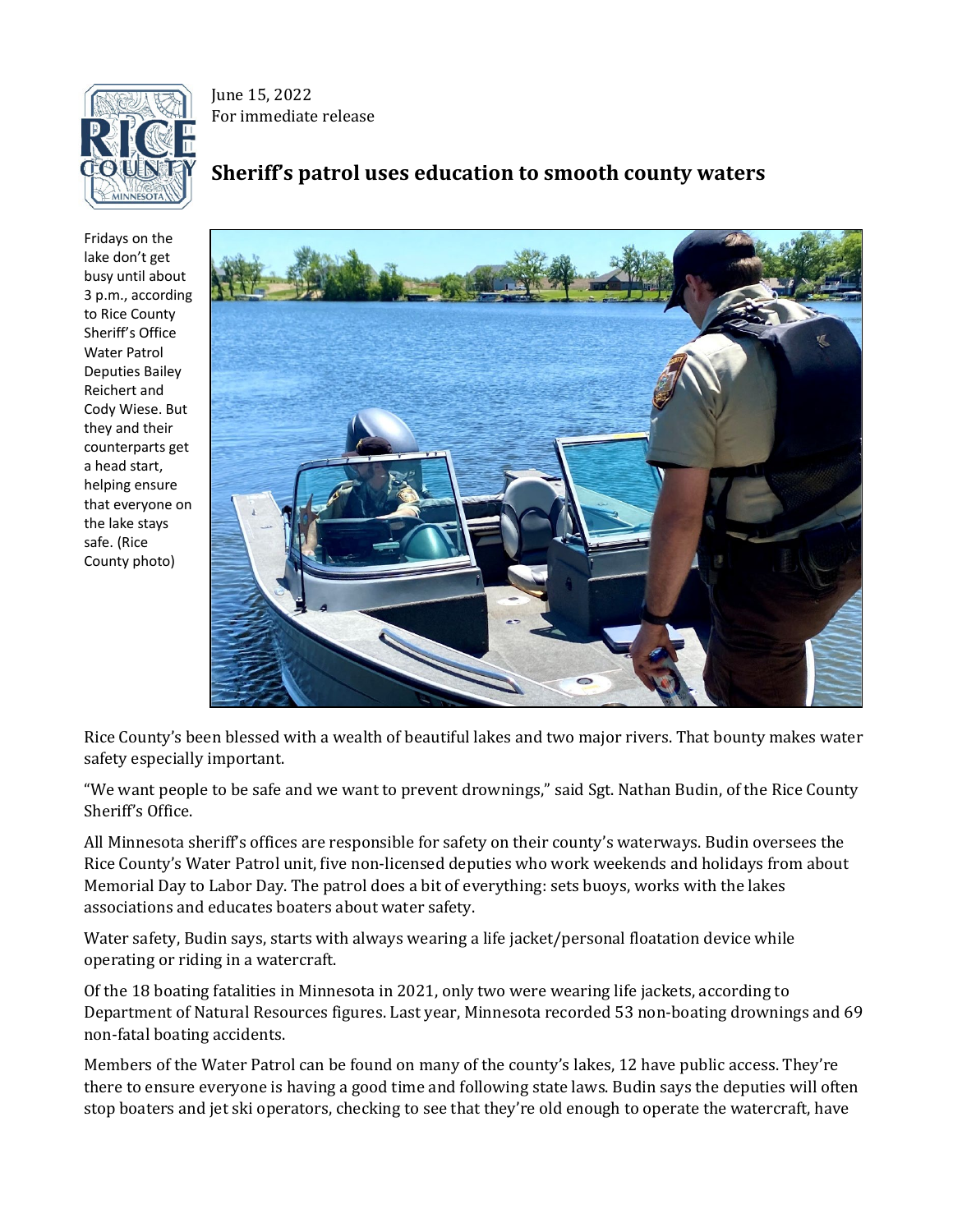

June 15, 2022 For immediate release

## **Sheriff's patrol uses education to smooth county waters**

Fridays on the lake don't get busy until about 3 p.m., according to Rice County Sheriff's Office Water Patrol Deputies Bailey Reichert and Cody Wiese. But they and their counterparts get a head start, helping ensure that everyone on the lake stays safe. (Rice County photo)



Rice County's been blessed with a wealth of beautiful lakes and two major rivers. That bounty makes water safety especially important.

"We want people to be safe and we want to prevent drownings," said Sgt. Nathan Budin, of the Rice County Sheriff's Office.

All Minnesota sheriff's offices are responsible for safety on their county's waterways. Budin oversees the Rice County's Water Patrol unit, five non-licensed deputies who work weekends and holidays from about Memorial Day to Labor Day. The patrol does a bit of everything: sets buoys, works with the lakes associations and educates boaters about water safety.

Water safety, Budin says, starts with always wearing a life jacket/personal floatation device while operating or riding in a watercraft.

Of the 18 boating fatalities in Minnesota in 2021, only two were wearing life jackets, according to Department of Natural Resources figures. Last year, Minnesota recorded 53 non-boating drownings and 69 non-fatal boating accidents.

Members of the Water Patrol can be found on many of the county's lakes, 12 have public access. They're there to ensure everyone is having a good time and following state laws. Budin says the deputies will often stop boaters and jet ski operators, checking to see that they're old enough to operate the watercraft, have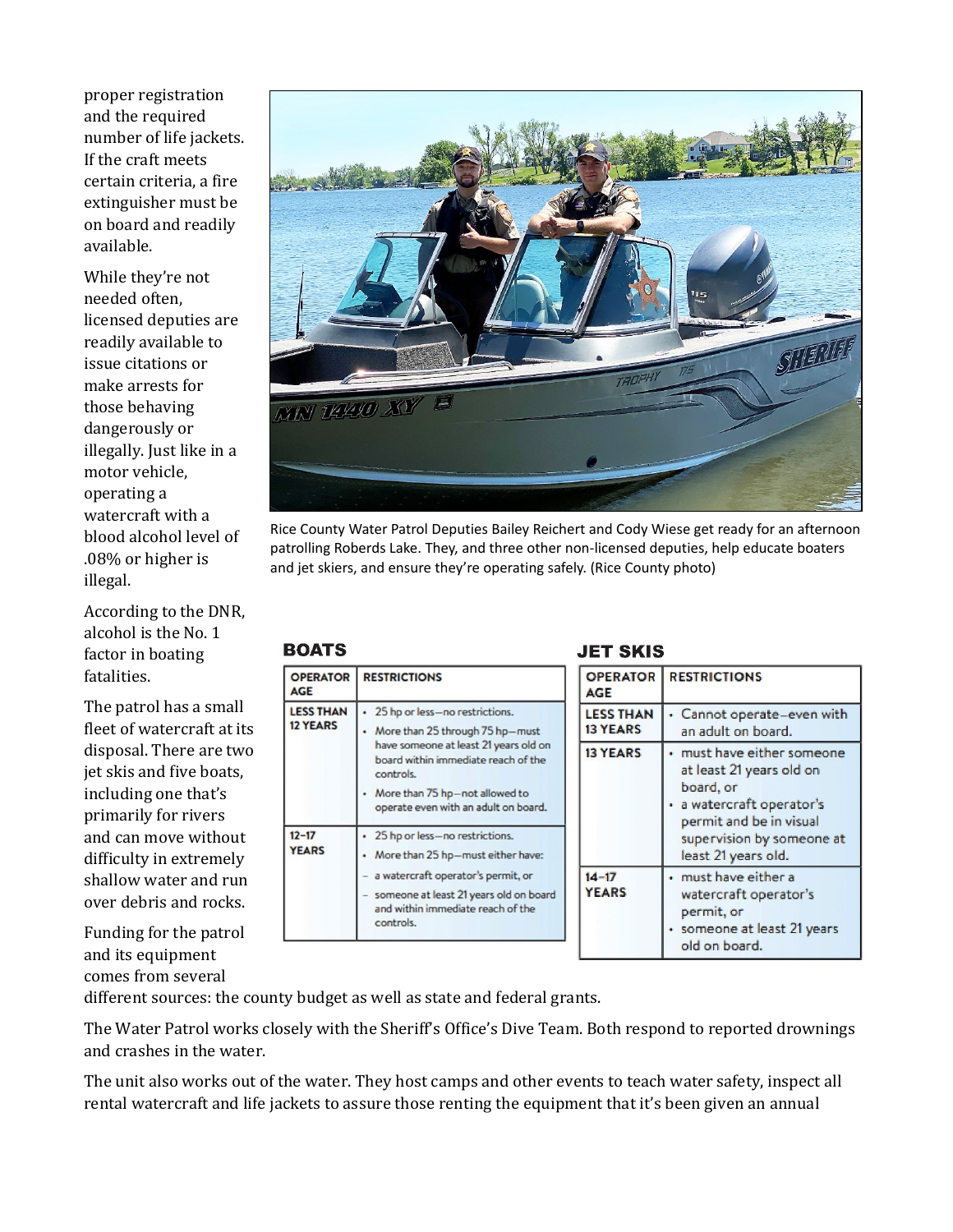proper registration and the required number of life jackets. If the craft meets certain criteria, a fire extinguisher must be on board and readily available.

While they're not needed often, licensed deputies are readily available to issue citations or make arrests for those behaving dangerously or illegally. Just like in a motor vehicle, operating a watercraft with a blood alcohol level of .08% or higher is illegal.

According to the DNR, alcohol is the No. 1 factor in boating fatalities.

The patrol has a small fleet of watercraft at its disposal. There are two jet skis and five boats, including one that's primarily for rivers and can move without difficulty in extremely shallow water and run over debris and rocks.

Funding for the patrol and its equipment comes from several



Rice County Water Patrol Deputies Bailey Reichert and Cody Wiese get ready for an afternoon patrolling Roberds Lake. They, and three other non-licensed deputies, help educate boaters and jet skiers, and ensure they're operating safely. (Rice County photo)

### **BOATS**

| <b>OPERATOR</b><br><b>AGE</b>       | <b>RESTRICTIONS</b>                                                                                                                                                                                                                      | OPI<br>AGI          |
|-------------------------------------|------------------------------------------------------------------------------------------------------------------------------------------------------------------------------------------------------------------------------------------|---------------------|
| <b>LESS THAN</b><br><b>12 YEARS</b> | 25 hp or less-no restrictions.<br>More than 25 through 75 hp-must<br>have someone at least 21 years old on<br>board within immediate reach of the<br>controls.<br>More than 75 hp-not allowed to<br>operate even with an adult on board. | LES<br>13 Y<br>13 Y |
| $12 - 17$<br><b>YEARS</b>           | 25 hp or less-no restrictions.<br>More than 25 hp-must either have:<br>a watercraft operator's permit, or<br>someone at least 21 years old on board<br>and within immediate reach of the<br>controls.                                    | $14 - 1$<br>YEA     |

### **JET SKIS**

| <b>OPERATOR</b><br><b>AGE</b>       | <b>RESTRICTIONS</b>                                                                                                                                                           |
|-------------------------------------|-------------------------------------------------------------------------------------------------------------------------------------------------------------------------------|
| <b>LESS THAN</b><br><b>13 YEARS</b> | Cannot operate-even with<br>an adult on board.                                                                                                                                |
| <b>13 YEARS</b>                     | must have either someone<br>at least 21 years old on<br>board, or<br>• a watercraft operator's<br>permit and be in visual<br>supervision by someone at<br>least 21 years old. |
| $14 - 17$<br><b>YEARS</b>           | must have either a<br>watercraft operator's<br>permit, or<br>· someone at least 21 years<br>old on board.                                                                     |

different sources: the county budget as well as state and federal grants.

The Water Patrol works closely with the Sheriff's Office's Dive Team. Both respond to reported drownings and crashes in the water.

The unit also works out of the water. They host camps and other events to teach water safety, inspect all rental watercraft and life jackets to assure those renting the equipment that it's been given an annual